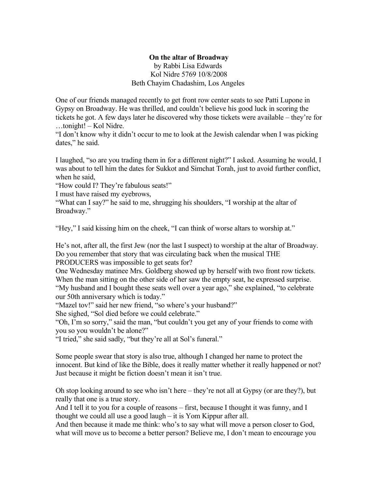## **On the altar of Broadway**

by Rabbi Lisa Edwards Kol Nidre 5769 10/8/2008 Beth Chayim Chadashim, Los Angeles

One of our friends managed recently to get front row center seats to see Patti Lupone in Gypsy on Broadway. He was thrilled, and couldn't believe his good luck in scoring the tickets he got. A few days later he discovered why those tickets were available – they're for …tonight! – Kol Nidre.

"I don't know why it didn't occur to me to look at the Jewish calendar when I was picking dates," he said.

I laughed, "so are you trading them in for a different night?" I asked. Assuming he would, I was about to tell him the dates for Sukkot and Simchat Torah, just to avoid further conflict, when he said,

"How could I? They're fabulous seats!"

I must have raised my eyebrows,

"What can I say?" he said to me, shrugging his shoulders, "I worship at the altar of Broadway."

"Hey," I said kissing him on the cheek, "I can think of worse altars to worship at."

He's not, after all, the first Jew (nor the last I suspect) to worship at the altar of Broadway. Do you remember that story that was circulating back when the musical THE PRODUCERS was impossible to get seats for?

One Wednesday matinee Mrs. Goldberg showed up by herself with two front row tickets. When the man sitting on the other side of her saw the empty seat, he expressed surprise. "My husband and I bought these seats well over a year ago," she explained, "to celebrate our 50th anniversary which is today."

"Mazel tov!" said her new friend, "so where's your husband?"

She sighed, "Sol died before we could celebrate."

"Oh, I'm so sorry," said the man, "but couldn't you get any of your friends to come with you so you wouldn't be alone?"

"I tried," she said sadly, "but they're all at Sol's funeral."

Some people swear that story is also true, although I changed her name to protect the innocent. But kind of like the Bible, does it really matter whether it really happened or not? Just because it might be fiction doesn't mean it isn't true.

Oh stop looking around to see who isn't here – they're not all at Gypsy (or are they?), but really that one is a true story.

And I tell it to you for a couple of reasons – first, because I thought it was funny, and I thought we could all use a good laugh – it is Yom Kippur after all.

And then because it made me think: who's to say what will move a person closer to God, what will move us to become a better person? Believe me, I don't mean to encourage you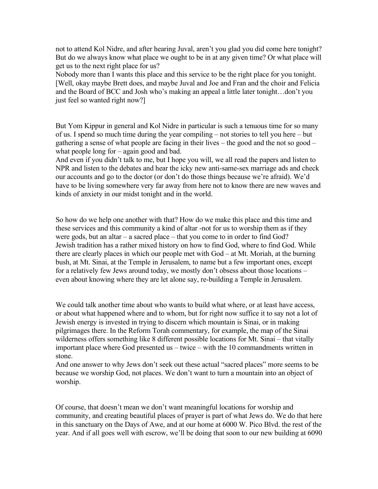not to attend Kol Nidre, and after hearing Juval, aren't you glad you did come here tonight? But do we always know what place we ought to be in at any given time? Or what place will get us to the next right place for us?

Nobody more than I wants this place and this service to be the right place for you tonight. [Well, okay maybe Brett does, and maybe Juval and Joe and Fran and the choir and Felicia and the Board of BCC and Josh who's making an appeal a little later tonight…don't you just feel so wanted right now?

But Yom Kippur in general and Kol Nidre in particular is such a tenuous time for so many of us. I spend so much time during the year compiling – not stories to tell you here – but gathering a sense of what people are facing in their lives – the good and the not so good – what people long for – again good and bad.

And even if you didn't talk to me, but I hope you will, we all read the papers and listen to NPR and listen to the debates and hear the icky new anti-same-sex marriage ads and check our accounts and go to the doctor (or don't do those things because we're afraid). We'd have to be living somewhere very far away from here not to know there are new waves and kinds of anxiety in our midst tonight and in the world.

So how do we help one another with that? How do we make this place and this time and these services and this community a kind of altar -not for us to worship them as if they were gods, but an altar – a sacred place – that you come to in order to find God? Jewish tradition has a rather mixed history on how to find God, where to find God. While there are clearly places in which our people met with God – at Mt. Moriah, at the burning bush, at Mt. Sinai, at the Temple in Jerusalem, to name but a few important ones, except for a relatively few Jews around today, we mostly don't obsess about those locations – even about knowing where they are let alone say, re-building a Temple in Jerusalem.

We could talk another time about who wants to build what where, or at least have access, or about what happened where and to whom, but for right now suffice it to say not a lot of Jewish energy is invested in trying to discern which mountain is Sinai, or in making pilgrimages there. In the Reform Torah commentary, for example, the map of the Sinai wilderness offers something like 8 different possible locations for Mt. Sinai – that vitally important place where God presented us – twice – with the 10 commandments written in stone.

And one answer to why Jews don't seek out these actual "sacred places" more seems to be because we worship God, not places. We don't want to turn a mountain into an object of worship.

Of course, that doesn't mean we don't want meaningful locations for worship and community, and creating beautiful places of prayer is part of what Jews do. We do that here in this sanctuary on the Days of Awe, and at our home at 6000 W. Pico Blvd. the rest of the year. And if all goes well with escrow, we'll be doing that soon to our new building at 6090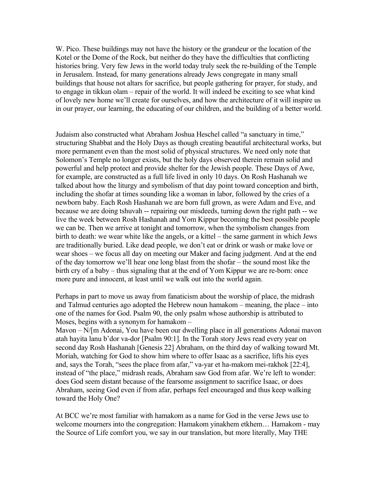W. Pico. These buildings may not have the history or the grandeur or the location of the Kotel or the Dome of the Rock, but neither do they have the difficulties that conflicting histories bring. Very few Jews in the world today truly seek the re-building of the Temple in Jerusalem. Instead, for many generations already Jews congregate in many small buildings that house not altars for sacrifice, but people gathering for prayer, for study, and to engage in tikkun olam – repair of the world. It will indeed be exciting to see what kind of lovely new home we'll create for ourselves, and how the architecture of it will inspire us in our prayer, our learning, the educating of our children, and the building of a better world.

Judaism also constructed what Abraham Joshua Heschel called "a sanctuary in time," structuring Shabbat and the Holy Days as though creating beautiful architectural works, but more permanent even than the most solid of physical structures. We need only note that Solomon's Temple no longer exists, but the holy days observed therein remain solid and powerful and help protect and provide shelter for the Jewish people. These Days of Awe, for example, are constructed as a full life lived in only 10 days. On Rosh Hashanah we talked about how the liturgy and symbolism of that day point toward conception and birth, including the shofar at times sounding like a woman in labor, followed by the cries of a newborn baby. Each Rosh Hashanah we are born full grown, as were Adam and Eve, and because we are doing tshuvah -- repairing our misdeeds, turning down the right path -- we live the week between Rosh Hashanah and Yom Kippur becoming the best possible people we can be. Then we arrive at tonight and tomorrow, when the symbolism changes from birth to death: we wear white like the angels, or a kittel – the same garment in which Jews are traditionally buried. Like dead people, we don't eat or drink or wash or make love or wear shoes – we focus all day on meeting our Maker and facing judgment. And at the end of the day tomorrow we'll hear one long blast from the shofar – the sound most like the birth cry of a baby – thus signaling that at the end of Yom Kippur we are re-born: once more pure and innocent, at least until we walk out into the world again.

Perhaps in part to move us away from fanaticism about the worship of place, the midrash and Talmud centuries ago adopted the Hebrew noun hamakom – meaning, the place – into one of the names for God. Psalm 90, the only psalm whose authorship is attributed to Moses, begins with a synonym for hamakom –

Mavon – N/[m Adonai, You have been our dwelling place in all generations Adonai mavon atah hayita lanu b'dor va-dor [Psalm 90:1]. In the Torah story Jews read every year on second day Rosh Hashanah [Genesis 22] Abraham, on the third day of walking toward Mt. Moriah, watching for God to show him where to offer Isaac as a sacrifice, lifts his eyes and, says the Torah, "sees the place from afar," va-yar et ha-makom mei-rakhok [22:4], instead of "the place," midrash reads, Abraham saw God from afar. We're left to wonder: does God seem distant because of the fearsome assignment to sacrifice Isaac, or does Abraham, seeing God even if from afar, perhaps feel encouraged and thus keep walking toward the Holy One?

At BCC we're most familiar with hamakom as a name for God in the verse Jews use to welcome mourners into the congregation: Hamakom yinakhem etkhem… Hamakom - may the Source of Life comfort you, we say in our translation, but more literally, May THE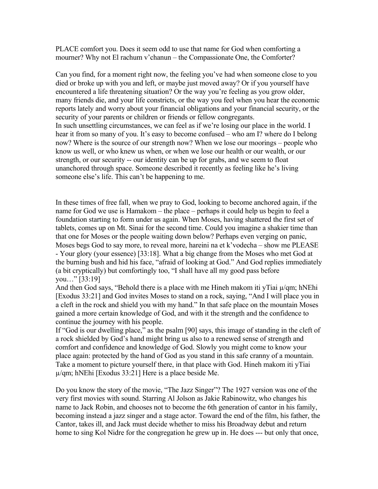PLACE comfort you. Does it seem odd to use that name for God when comforting a mourner? Why not El rachum v'chanun – the Compassionate One, the Comforter?

Can you find, for a moment right now, the feeling you've had when someone close to you died or broke up with you and left, or maybe just moved away? Or if you yourself have encountered a life threatening situation? Or the way you're feeling as you grow older, many friends die, and your life constricts, or the way you feel when you hear the economic reports lately and worry about your financial obligations and your financial security, or the security of your parents or children or friends or fellow congregants. In such unsettling circumstances, we can feel as if we're losing our place in the world. I hear it from so many of you. It's easy to become confused – who am I? where do I belong now? Where is the source of our strength now? When we lose our moorings – people who know us well, or who knew us when, or when we lose our health or our wealth, or our strength, or our security -- our identity can be up for grabs, and we seem to float unanchored through space. Someone described it recently as feeling like he's living someone else's life. This can't be happening to me.

In these times of free fall, when we pray to God, looking to become anchored again, if the name for God we use is Hamakom – the place – perhaps it could help us begin to feel a foundation starting to form under us again. When Moses, having shattered the first set of tablets, comes up on Mt. Sinai for the second time. Could you imagine a shakier time than that one for Moses or the people waiting down below? Perhaps even verging on panic, Moses begs God to say more, to reveal more, hareini na et k'vodecha – show me PLEASE - Your glory (your essence) [33:18]. What a big change from the Moses who met God at the burning bush and hid his face, "afraid of looking at God." And God replies immediately (a bit cryptically) but comfortingly too, "I shall have all my good pass before you…" [33:19]

And then God says, "Behold there is a place with me Hineh makom iti yTiai  $\mu$ /qm; hNEhi [Exodus 33:21] and God invites Moses to stand on a rock, saying, "And I will place you in a cleft in the rock and shield you with my hand." In that safe place on the mountain Moses gained a more certain knowledge of God, and with it the strength and the confidence to continue the journey with his people.

If "God is our dwelling place," as the psalm [90] says, this image of standing in the cleft of a rock shielded by God's hand might bring us also to a renewed sense of strength and comfort and confidence and knowledge of God. Slowly you might come to know your place again: protected by the hand of God as you stand in this safe cranny of a mountain. Take a moment to picture yourself there, in that place with God. Hineh makom iti yTiai  $\mu$ /qm; hNEhi [Exodus 33:21] Here is a place beside Me.

Do you know the story of the movie, "The Jazz Singer"? The 1927 version was one of the very first movies with sound. Starring Al Jolson as Jakie Rabinowitz, who changes his name to Jack Robin, and chooses not to become the 6th generation of cantor in his family, becoming instead a jazz singer and a stage actor. Toward the end of the film, his father, the Cantor, takes ill, and Jack must decide whether to miss his Broadway debut and return home to sing Kol Nidre for the congregation he grew up in. He does --- but only that once,